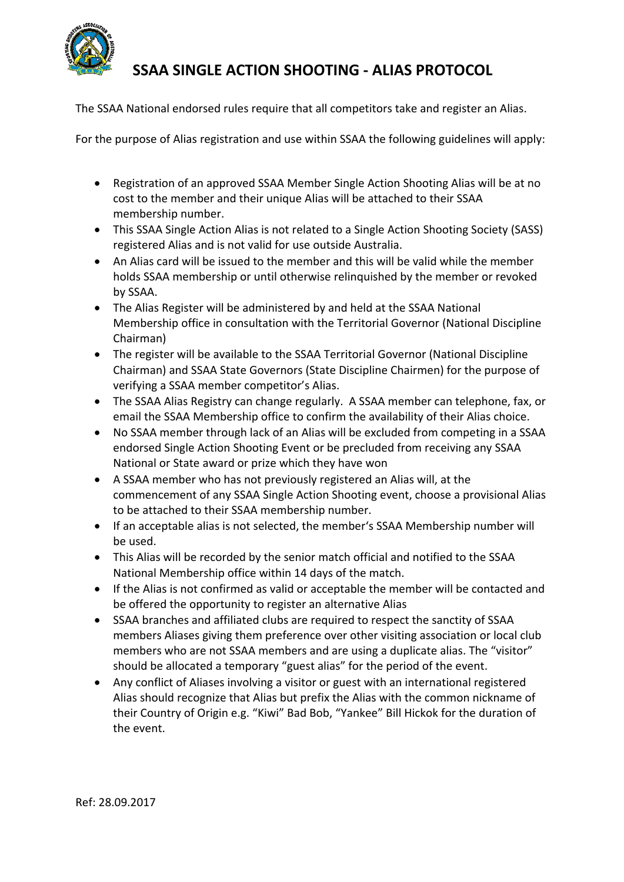

## **SSAA SINGLE ACTION SHOOTING ‐ ALIAS PROTOCOL**

The SSAA National endorsed rules require that all competitors take and register an Alias.

For the purpose of Alias registration and use within SSAA the following guidelines will apply:

- Registration of an approved SSAA Member Single Action Shooting Alias will be at no cost to the member and their unique Alias will be attached to their SSAA membership number.
- This SSAA Single Action Alias is not related to a Single Action Shooting Society (SASS) registered Alias and is not valid for use outside Australia.
- An Alias card will be issued to the member and this will be valid while the member holds SSAA membership or until otherwise relinquished by the member or revoked by SSAA.
- The Alias Register will be administered by and held at the SSAA National Membership office in consultation with the Territorial Governor (National Discipline Chairman)
- The register will be available to the SSAA Territorial Governor (National Discipline Chairman) and SSAA State Governors (State Discipline Chairmen) for the purpose of verifying a SSAA member competitor's Alias.
- The SSAA Alias Registry can change regularly. A SSAA member can telephone, fax, or email the SSAA Membership office to confirm the availability of their Alias choice.
- No SSAA member through lack of an Alias will be excluded from competing in a SSAA endorsed Single Action Shooting Event or be precluded from receiving any SSAA National or State award or prize which they have won
- A SSAA member who has not previously registered an Alias will, at the commencement of any SSAA Single Action Shooting event, choose a provisional Alias to be attached to their SSAA membership number.
- If an acceptable alias is not selected, the member's SSAA Membership number will be used.
- This Alias will be recorded by the senior match official and notified to the SSAA National Membership office within 14 days of the match.
- If the Alias is not confirmed as valid or acceptable the member will be contacted and be offered the opportunity to register an alternative Alias
- SSAA branches and affiliated clubs are required to respect the sanctity of SSAA members Aliases giving them preference over other visiting association or local club members who are not SSAA members and are using a duplicate alias. The "visitor" should be allocated a temporary "guest alias" for the period of the event.
- Any conflict of Aliases involving a visitor or guest with an international registered Alias should recognize that Alias but prefix the Alias with the common nickname of their Country of Origin e.g. "Kiwi" Bad Bob, "Yankee" Bill Hickok for the duration of the event.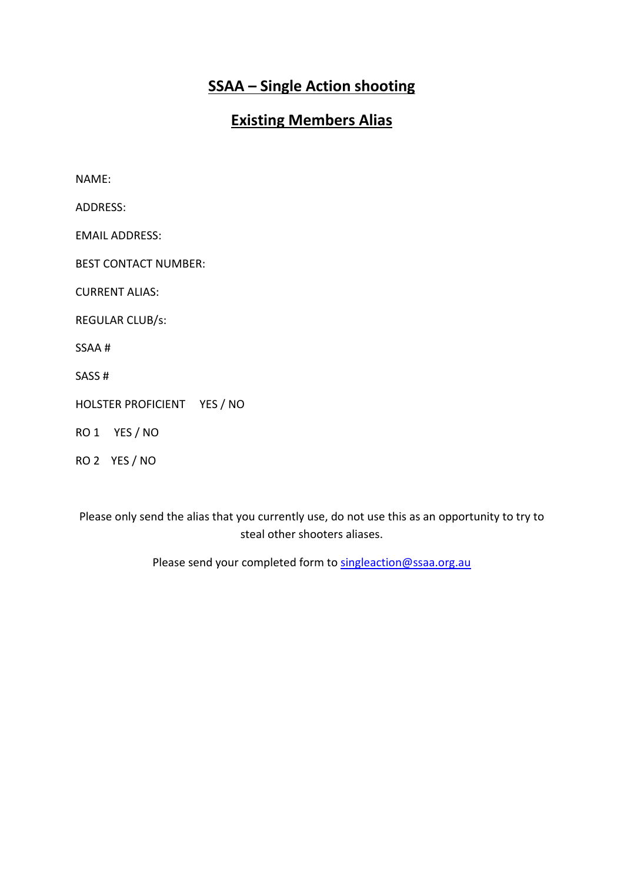## **SSAA – Single Action shooting**

#### **Existing Members Alias**

NAME: ADDRESS: EMAIL ADDRESS: BEST CONTACT NUMBER: CURRENT ALIAS: REGULAR CLUB/s: SSAA # SASS # HOLSTER PROFICIENT YES / NO RO 1 YES / NO RO 2 YES / NO

Please only send the alias that you currently use, do not use this as an opportunity to try to steal other shooters aliases.

Please send your completed form to singleaction@ssaa.org.au